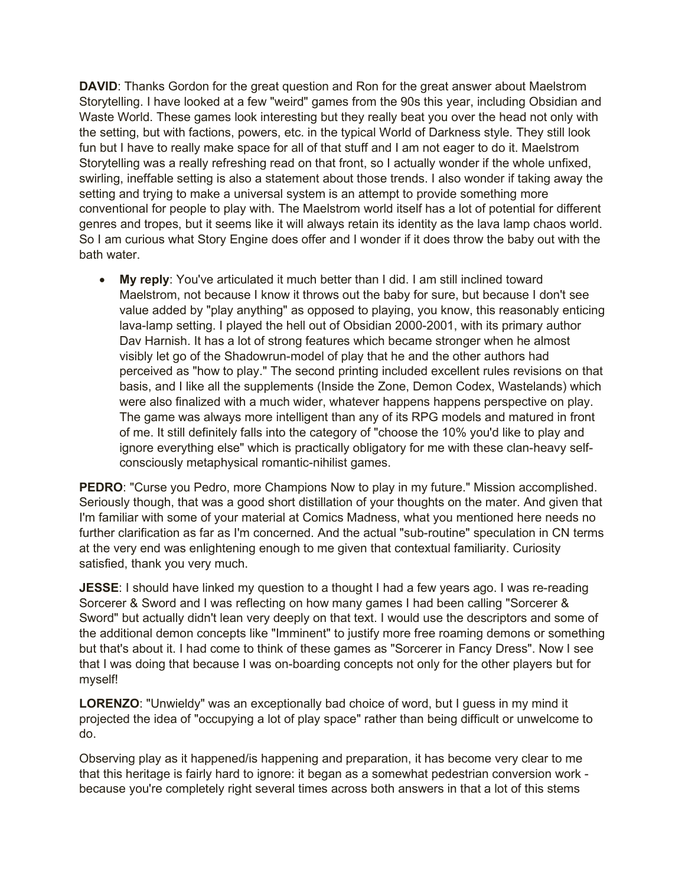**DAVID:** Thanks Gordon for the great question and Ron for the great answer about Maelstrom Storytelling. I have looked at a few "weird" games from the 90s this year, including Obsidian and Waste World. These games look interesting but they really beat you over the head not only with the setting, but with factions, powers, etc. in the typical World of Darkness style. They still look fun but I have to really make space for all of that stuff and I am not eager to do it. Maelstrom Storytelling was a really refreshing read on that front, so I actually wonder if the whole unfixed, swirling, ineffable setting is also a statement about those trends. I also wonder if taking away the setting and trying to make a universal system is an attempt to provide something more conventional for people to play with. The Maelstrom world itself has a lot of potential for different genres and tropes, but it seems like it will always retain its identity as the lava lamp chaos world. So I am curious what Story Engine does offer and I wonder if it does throw the baby out with the bath water.

• **My reply**: You've articulated it much better than I did. I am still inclined toward Maelstrom, not because I know it throws out the baby for sure, but because I don't see value added by "play anything" as opposed to playing, you know, this reasonably enticing lava-lamp setting. I played the hell out of Obsidian 2000-2001, with its primary author Dav Harnish. It has a lot of strong features which became stronger when he almost visibly let go of the Shadowrun-model of play that he and the other authors had perceived as "how to play." The second printing included excellent rules revisions on that basis, and I like all the supplements (Inside the Zone, Demon Codex, Wastelands) which were also finalized with a much wider, whatever happens happens perspective on play. The game was always more intelligent than any of its RPG models and matured in front of me. It still definitely falls into the category of "choose the 10% you'd like to play and ignore everything else" which is practically obligatory for me with these clan-heavy selfconsciously metaphysical romantic-nihilist games.

**PEDRO**: "Curse you Pedro, more Champions Now to play in my future." Mission accomplished. Seriously though, that was a good short distillation of your thoughts on the mater. And given that I'm familiar with some of your material at Comics Madness, what you mentioned here needs no further clarification as far as I'm concerned. And the actual "sub-routine" speculation in CN terms at the very end was enlightening enough to me given that contextual familiarity. Curiosity satisfied, thank you very much.

**JESSE**: I should have linked my question to a thought I had a few years ago. I was re-reading Sorcerer & Sword and I was reflecting on how many games I had been calling "Sorcerer & Sword" but actually didn't lean very deeply on that text. I would use the descriptors and some of the additional demon concepts like "Imminent" to justify more free roaming demons or something but that's about it. I had come to think of these games as "Sorcerer in Fancy Dress". Now I see that I was doing that because I was on-boarding concepts not only for the other players but for myself!

**LORENZO**: "Unwieldy" was an exceptionally bad choice of word, but I guess in my mind it projected the idea of "occupying a lot of play space" rather than being difficult or unwelcome to do.

Observing play as it happened/is happening and preparation, it has become very clear to me that this heritage is fairly hard to ignore: it began as a somewhat pedestrian conversion work because you're completely right several times across both answers in that a lot of this stems